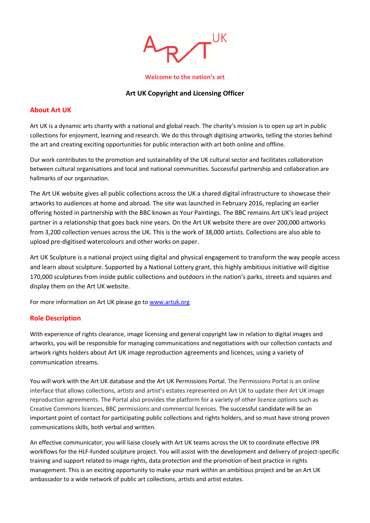

#### **Welcome to the nation's art**

## **Art UK Copyright and Licensing Officer**

#### **About Art UK**

Art UK is a dynamic arts charity with a national and global reach. The charity's mission is to open up art in public collections for enjoyment, learning and research. We do this through digitising artworks, telling the stories behind the art and creating exciting opportunities for public interaction with art both online and offline.

Our work contributes to the promotion and sustainability of the UK cultural sector and facilitates collaboration between cultural organisations and local and national communities. Successful partnership and collaboration are hallmarks of our organisation.

The Art UK website gives all public collections across the UK a shared digital infrastructure to showcase their artworks to audiences at home and abroad. The site was launched in February 2016, replacing an earlier offering hosted in partnership with the BBC known as Your Paintings. The BBC remains Art UK's lead project partner in a relationship that goes back nine years. On the Art UK website there are over 200,000 artworks from 3,200 collection venues across the UK. This is the work of 38,000 artists. Collections are also able to upload pre-digitised watercolours and other works on paper.

Art UK Sculpture is a national project using digital and physical engagement to transform the way people access and learn about sculpture. Supported by a National Lottery grant, this highly ambitious initiative will digitise 170,000 sculptures from inside public collections and outdoors in the nation's parks, streets and squares and display them on the Art UK website.

For more information on Art UK please go t[o www.artuk.org](http://www.artuk.org/)

## **Role Description**

With experience of rights clearance, image licensing and general copyright law in relation to digital images and artworks, you will be responsible for managing communications and negotiations with our collection contacts and artwork rights holders about Art UK image reproduction agreements and licences, using a variety of communication streams.

You will work with the Art UK database and the Art UK Permissions Portal. The Permissions Portal is an online interface that allows collections, artists and artist's estates represented on Art UK to update their Art UK image reproduction agreements. The Portal also provides the platform for a variety of other licence options such as Creative Commons licences, BBC permissions and commercial licences. The successful candidate will be an important point of contact for participating public collections and rights holders, and so must have strong proven communications skills, both verbal and written.

An effective communicator, you will liaise closely with Art UK teams across the UK to coordinate effective IPR workflows for the HLF-funded sculpture project. You will assist with the development and delivery of project-specific training and support related to image rights, data protection and the promotion of best practice in rights management. This is an exciting opportunity to make your mark within an ambitious project and be an Art UK ambassador to a wide network of public art collections, artists and artist estates.